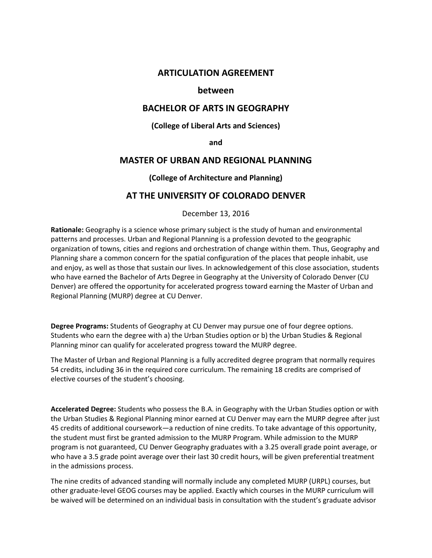# **ARTICULATION AGREEMENT**

## **between**

# **BACHELOR OF ARTS IN GEOGRAPHY**

### **(College of Liberal Arts and Sciences)**

#### **and**

## **MASTER OF URBAN AND REGIONAL PLANNING**

### **(College of Architecture and Planning)**

# **AT THE UNIVERSITY OF COLORADO DENVER**

December 13, 2016

**Rationale:** Geography is a science whose primary subject is the study of human and environmental patterns and processes. Urban and Regional Planning is a profession devoted to the geographic organization of towns, cities and regions and orchestration of change within them. Thus, Geography and Planning share a common concern for the spatial configuration of the places that people inhabit, use and enjoy, as well as those that sustain our lives. In acknowledgement of this close association, students who have earned the Bachelor of Arts Degree in Geography at the University of Colorado Denver (CU Denver) are offered the opportunity for accelerated progress toward earning the Master of Urban and Regional Planning (MURP) degree at CU Denver.

**Degree Programs:** Students of Geography at CU Denver may pursue one of four degree options. Students who earn the degree with a) the Urban Studies option or b) the Urban Studies & Regional Planning minor can qualify for accelerated progress toward the MURP degree.

The Master of Urban and Regional Planning is a fully accredited degree program that normally requires 54 credits, including 36 in the required core curriculum. The remaining 18 credits are comprised of elective courses of the student's choosing.

**Accelerated Degree:** Students who possess the B.A. in Geography with the Urban Studies option or with the Urban Studies & Regional Planning minor earned at CU Denver may earn the MURP degree after just 45 credits of additional coursework—a reduction of nine credits. To take advantage of this opportunity, the student must first be granted admission to the MURP Program. While admission to the MURP program is not guaranteed, CU Denver Geography graduates with a 3.25 overall grade point average, or who have a 3.5 grade point average over their last 30 credit hours, will be given preferential treatment in the admissions process.

The nine credits of advanced standing will normally include any completed MURP (URPL) courses, but other graduate-level GEOG courses may be applied. Exactly which courses in the MURP curriculum will be waived will be determined on an individual basis in consultation with the student's graduate advisor